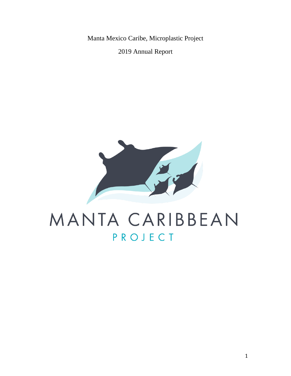Manta Mexico Caribe, Microplastic Project

2019 Annual Report



# MANTA CARIBBEAN PROJECT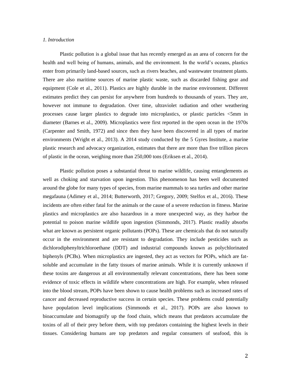#### *1. Introduction*

Plastic pollution is a global issue that has recently emerged as an area of concern for the health and well being of humans, animals, and the environment. In the world's oceans, plastics enter from primarily land-based sources, such as rivers beaches, and wastewater treatment plants. There are also maritime sources of marine plastic waste, such as discarded fishing gear and equipment (Cole et al., 2011). Plastics are highly durable in the marine environment. Different estimates predict they can persist for anywhere from hundreds to thousands of years. They are, however not immune to degradation. Over time, ultraviolet radiation and other weathering processes cause larger plastics to degrade into microplastics, or plastic particles <5mm in diameter (Barnes et al., 2009). Microplastics were first reported in the open ocean in the 1970s (Carpenter and Smith, 1972) and since then they have been discovered in all types of marine environments (Wright et al., 2013). A 2014 study conducted by the 5 Gyres Institute, a marine plastic research and advocacy organization, estimates that there are more than five trillion pieces of plastic in the ocean, weighing more than 250,000 tons (Eriksen et al., 2014).

Plastic pollution poses a substantial threat to marine wildlife, causing entanglements as well as choking and starvation upon ingestion. This phenomenon has been well documented around the globe for many types of species, from marine mammals to sea turtles and other marine megafauna (Adimey et al., 2014; Butterworth, 2017; Gregory, 2009; Stelfox et al., 2016). These incidents are often either fatal for the animals or the cause of a severe reduction in fitness. Marine plastics and microplastics are also hazardous in a more unexpected way, as they harbor the potential to poison marine wildlife upon ingestion (Simmonds, 2017). Plastic readily absorbs what are known as persistent organic pollutants (POPs). These are chemicals that do not naturally occur in the environment and are resistant to degradation. They include pesticides such as dichlorodiphenyltrichloroethane (DDT) and industrial compounds known as polychlorinated biphenyls (PCBs). When microplastics are ingested, they act as vectors for POPs, which are fatsoluble and accumulate in the fatty tissues of marine animals. While it is currently unknown if these toxins are dangerous at all environmentally relevant concentrations, there has been some evidence of toxic effects in wildlife where concentrations are high. For example, when released into the blood stream, POPs have been shown to cause health problems such as increased rates of cancer and decreased reproductive success in certain species. These problems could potentially have population level implications (Simmonds et al., 2017). POPs are also known to bioaccumulate and biomagnify up the food chain, which means that predators accumulate the toxins of all of their prey before them, with top predators containing the highest levels in their tissues. Considering humans are top predators and regular consumers of seafood, this is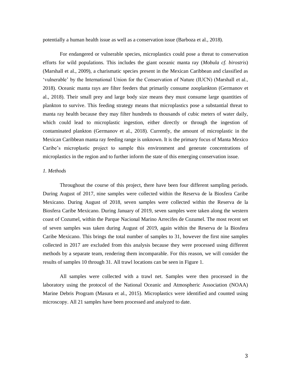potentially a human health issue as well as a conservation issue (Barboza et al., 2018).

For endangered or vulnerable species, microplastics could pose a threat to conservation efforts for wild populations. This includes the giant oceanic manta ray (*Mobula cf. birostris*) (Marshall et al., 2009), a charismatic species present in the Mexican Caribbean and classified as 'vulnerable' by the International Union for the Conservation of Nature (IUCN) (Marshall et al., 2018). Oceanic manta rays are filter feeders that primarily consume zooplankton (Germanov et al., 2018). Their small prey and large body size means they must consume large quantities of plankton to survive. This feeding strategy means that microplastics pose a substantial threat to manta ray health because they may filter hundreds to thousands of cubic meters of water daily, which could lead to microplastic ingestion, either directly or through the ingestion of contaminated plankton (Germanov et al., 2018). Currently, the amount of microplastic in the Mexican Caribbean manta ray feeding range is unknown. It is the primary focus of Manta Mexico Caribe's microplastic project to sample this environment and generate concentrations of microplastics in the region and to further inform the state of this emerging conservation issue.

#### *1. Methods*

Throughout the course of this project, there have been four different sampling periods. During August of 2017, nine samples were collected within the Reserva de la Biosfera Caribe Mexicano. During August of 2018, seven samples were collected within the Reserva de la Biosfera Caribe Mexicano. During January of 2019, seven samples were taken along the western coast of Cozumel, within the Parque Nacional Marino Arrecifes de Cozumel. The most recent set of seven samples was taken during August of 2019, again within the Reserva de la Biosfera Caribe Mexicano. This brings the total number of samples to 31, however the first nine samples collected in 2017 are excluded from this analysis because they were processed using different methods by a separate team, rendering them incomparable. For this reason, we will consider the results of samples 10 through 31. All trawl locations can be seen in Figure 1.

All samples were collected with a trawl net. Samples were then processed in the laboratory using the protocol of the National Oceanic and Atmospheric Association (NOAA) Marine Debris Program (Masura et al., 2015). Microplastics were identified and counted using microscopy. All 21 samples have been processed and analyzed to date.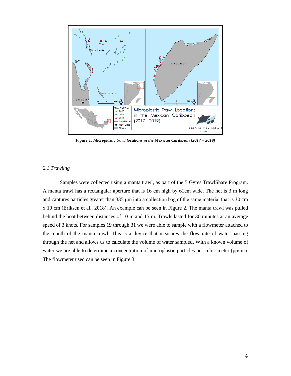

*Figure 1: Microplastic trawl locations in the Mexican Caribbean (2017 – 2019)*

## *2.1 Trawling*

Samples were collected using a manta trawl, as part of the 5 Gyres TrawlShare Program. A manta trawl has a rectangular aperture that is 16 cm high by 61cm wide. The net is 3 m long and captures particles greater than 335 μm into a collection bag of the same material that is 30 cm x 10 cm (Eriksen et al., 2018). An example can be seen in Figure 2. The manta trawl was pulled behind the boat between distances of 10 m and 15 m. Trawls lasted for 30 minutes at an average speed of 3 knots. For samples 19 through 31 we were able to sample with a flowmeter attached to the mouth of the manta trawl. This is a device that measures the flow rate of water passing through the net and allows us to calculate the volume of water sampled. With a known volume of water we are able to determine a concentration of microplastic particles per cubic meter (pp/m<sub>3</sub>). The flowmeter used can be seen in Figure 3.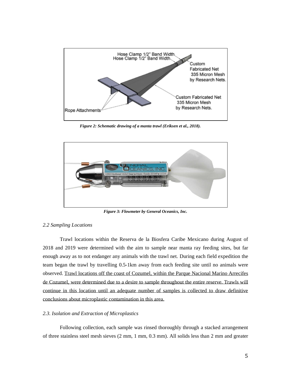

*Figure 2: Schematic drawing of a manta trawl (Eriksen et al., 2018).*



*Figure 3: Flowmeter by General Oceanics, Inc.*

#### *2.2 Sampling Locations*

Trawl locations within the Reserva de la Biosfera Caribe Mexicano during August of 2018 and 2019 were determined with the aim to sample near manta ray feeding sites, but far enough away as to not endanger any animals with the trawl net. During each field expedition the team began the trawl by travelling 0.5-1km away from each feeding site until no animals were observed. Trawl locations off the coast of Cozumel, within the Parque Nacional Marino Arrecifes de Cozumel, were determined due to a desire to sample throughout the entire reserve. Trawls will continue in this location until an adequate number of samples is collected to draw definitive conclusions about microplastic contamination in this area.

#### *2.3. Isolation and Extraction of Microplastics*

Following collection, each sample was rinsed thoroughly through a stacked arrangement of three stainless steel mesh sieves (2 mm, 1 mm, 0.3 mm). All solids less than 2 mm and greater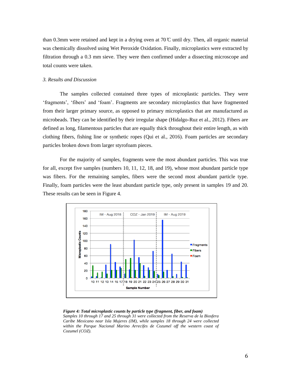than 0.3mm were retained and kept in a drying oven at 70  $\mathbb{C}$  until dry. Then, all organic material was chemically dissolved using Wet Peroxide Oxidation. Finally, microplastics were extracted by filtration through a 0.3 mm sieve. They were then confirmed under a dissecting microscope and total counts were taken.

#### *3. Results and Discussion*

The samples collected contained three types of microplastic particles. They were 'fragments', 'fibers' and 'foam'. Fragments are secondary microplastics that have fragmented from their larger primary source, as opposed to primary microplastics that are manufactured as microbeads. They can be identified by their irregular shape (Hidalgo-Ruz et al., 2012). Fibers are defined as long, filamentous particles that are equally thick throughout their entire length, as with clothing fibers, fishing line or synthetic ropes (Qui et al., 2016). Foam particles are secondary particles broken down from larger styrofoam pieces.

For the majority of samples, fragments were the most abundant particles. This was true for all, except five samples (numbers 10, 11, 12, 18, and 19), whose most abundant particle type was fibers. For the remaining samples, fibers were the second most abundant particle type. Finally, foam particles were the least abundant particle type, only present in samples 19 and 20. These results can be seen in Figure 4.



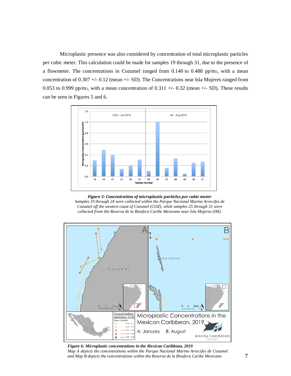Microplastic presence was also considered by concentration of total microplastic particles per cubic meter. This calculation could be made for samples 19 through 31, due to the presence of a flowmeter. The concentrations in Cozumel ranged from 0.140 to 0.488 pp/m3, with a mean concentration of 0.307 +/- 0.12 (mean +/- SD). The Concentrations near Isla Mujeres ranged from 0.053 to 0.999 pp/m<sub>3</sub>, with a mean concentration of 0.311 +/- 0.32 (mean +/- SD). These results can be seen in Figures 5 and 6.



*Figure 5: Concentration of microplastic particles per cubic meter Samples 19 through 24 were collected within the Parque Nacional Marino Arrecifes de Cozumel off the western coast of Cozumel (COZ), while samples 25 through 31 were collected from the Reserva de la Biosfera Caribe Mexicano near Isla Mujeres (IM).*



*Figure 6: Microplastic concentrations in the Mexican Caribbean, 2019 Map A depicts the concentrations within the Parque Nacional Marino Arrecifes de Cozumel and Map B depicts the concentrations within the Reserva de la Biosfera Caribe Mexicano*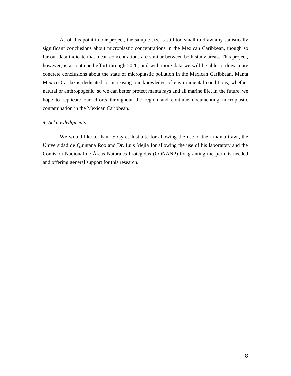As of this point in our project, the sample size is still too small to draw any statistically significant conclusions about microplastic concentrations in the Mexican Caribbean, though so far our data indicate that mean concentrations are similar between both study areas. This project, however, is a continued effort through 2020, and with more data we will be able to draw more concrete conclusions about the state of microplastic pollution in the Mexican Caribbean. Manta Mexico Caribe is dedicated to increasing our knowledge of environmental conditions, whether natural or anthropogenic, so we can better protect manta rays and all marine life. In the future, we hope to replicate our efforts throughout the region and continue documenting microplastic contamination in the Mexican Caribbean.

### *4. Acknowledgments*

We would like to thank 5 Gyres Institute for allowing the use of their manta trawl, the Universidad de Quintana Roo and Dr. Luis Mejia for allowing the use of his laboratory and the Comisión Nacional de Áreas Naturales Protegidas (CONANP) for granting the permits needed and offering general support for this research.